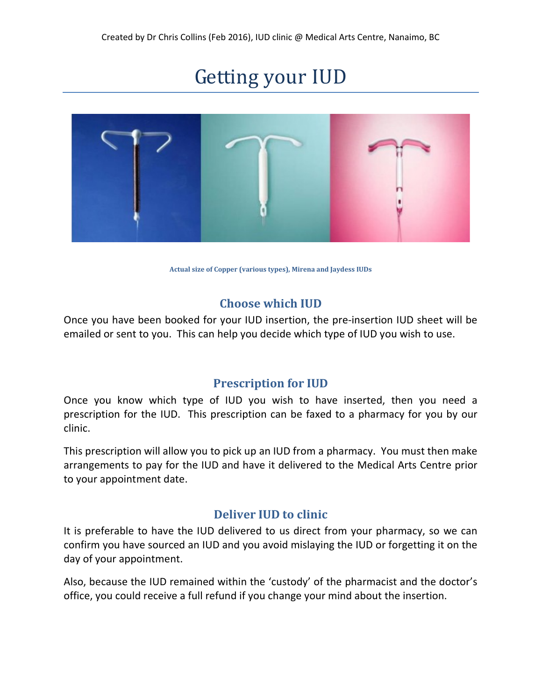# Getting your IUD



Actual size of Copper (various types), Mirena and Jaydess IUDs

### Choose which IUD

Once you have been booked for your IUD insertion, the pre-insertion IUD sheet will be emailed or sent to you. This can help you decide which type of IUD you wish to use.

### Prescription for IUD

Once you know which type of IUD you wish to have inserted, then you need a prescription for the IUD. This prescription can be faxed to a pharmacy for you by our clinic.

This prescription will allow you to pick up an IUD from a pharmacy. You must then make arrangements to pay for the IUD and have it delivered to the Medical Arts Centre prior to your appointment date.

### Deliver IUD to clinic

It is preferable to have the IUD delivered to us direct from your pharmacy, so we can confirm you have sourced an IUD and you avoid mislaying the IUD or forgetting it on the day of your appointment.

Also, because the IUD remained within the 'custody' of the pharmacist and the doctor's office, you could receive a full refund if you change your mind about the insertion.